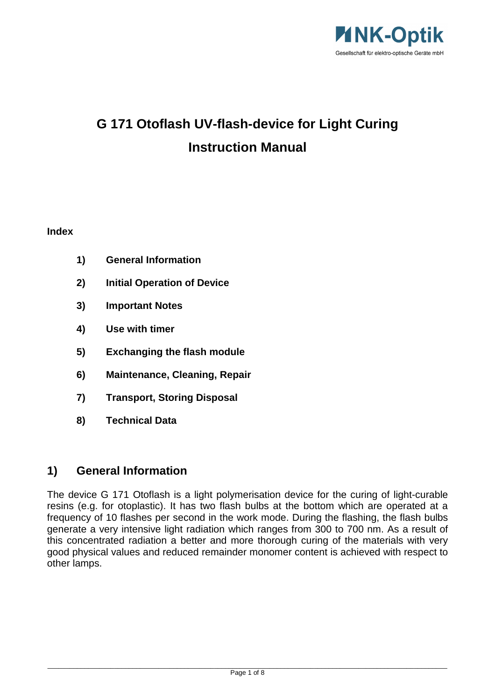

# **G 171 Otoflash UV-flash-device for Light Curing Instruction Manual**

#### **Index**

- **1) General Information**
- **2) Initial Operation of Device**
- **3) Important Notes**
- **4) Use with timer**
- **5) Exchanging the flash module**
- **6) Maintenance, Cleaning, Repair**
- **7) Transport, Storing Disposal**
- **8) Technical Data**

### **1) General Information**

The device G 171 Otoflash is a light polymerisation device for the curing of light-curable resins (e.g. for otoplastic). It has two flash bulbs at the bottom which are operated at a frequency of 10 flashes per second in the work mode. During the flashing, the flash bulbs generate a very intensive light radiation which ranges from 300 to 700 nm. As a result of this concentrated radiation a better and more thorough curing of the materials with very good physical values and reduced remainder monomer content is achieved with respect to other lamps.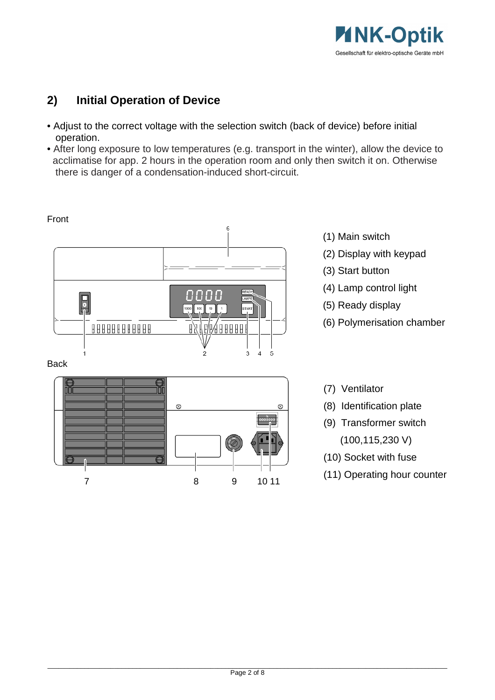

# **2) Initial Operation of Device**

- Adjust to the correct voltage with the selection switch (back of device) before initial operation.
- After long exposure to low temperatures (e.g. transport in the winter), allow the device to acclimatise for app. 2 hours in the operation room and only then switch it on. Otherwise there is danger of a condensation-induced short-circuit.



Back



- (1) Main switch
- (2) Display with keypad
- (3) Start button
- (4) Lamp control light
- (5) Ready display
- (6) Polymerisation chamber

(7) Ventilator

- (8) Identification plate
- (9) Transformer switch
	- (100,115,230 V)
- (10) Socket with fuse
- (11) Operating hour counter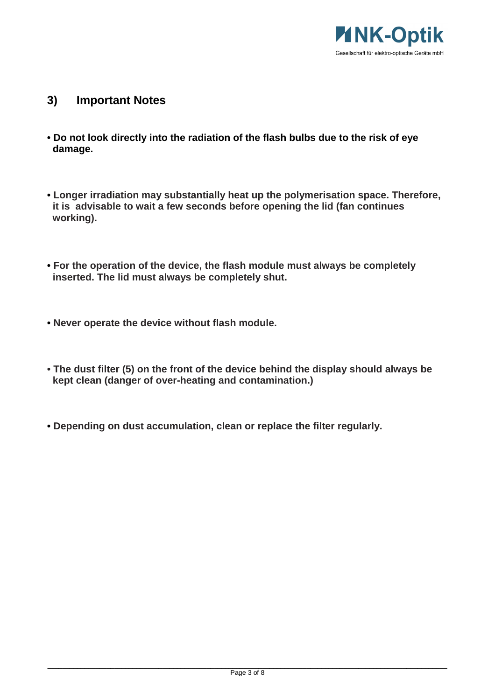

- **3) Important Notes**
- **Do not look directly into the radiation of the flash bulbs due to the risk of eye damage.**
- **Longer irradiation may substantially heat up the polymerisation space. Therefore, it is advisable to wait a few seconds before opening the lid (fan continues working).**
- **For the operation of the device, the flash module must always be completely inserted. The lid must always be completely shut.**
- **Never operate the device without flash module.**
- **The dust filter (5) on the front of the device behind the display should always be kept clean (danger of over-heating and contamination.)**
- **Depending on dust accumulation, clean or replace the filter regularly.**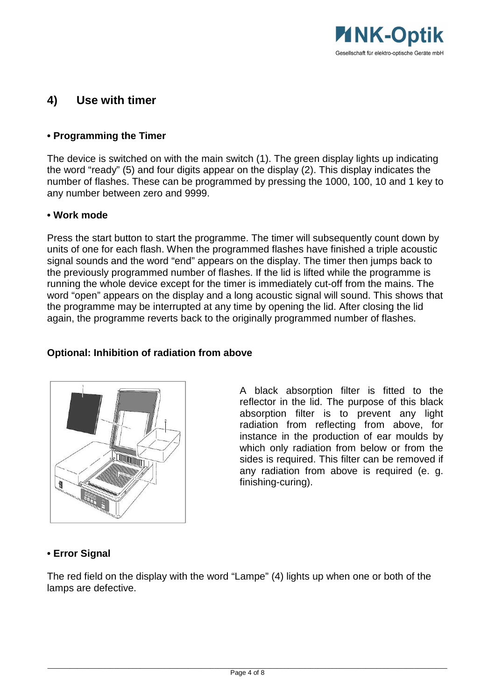

### **4) Use with timer**

#### **• Programming the Timer**

The device is switched on with the main switch (1). The green display lights up indicating the word "ready" (5) and four digits appear on the display (2). This display indicates the number of flashes. These can be programmed by pressing the 1000, 100, 10 and 1 key to any number between zero and 9999.

#### **• Work mode**

Press the start button to start the programme. The timer will subsequently count down by units of one for each flash. When the programmed flashes have finished a triple acoustic signal sounds and the word "end" appears on the display. The timer then jumps back to the previously programmed number of flashes. If the lid is lifted while the programme is running the whole device except for the timer is immediately cut-off from the mains. The word "open" appears on the display and a long acoustic signal will sound. This shows that the programme may be interrupted at any time by opening the lid. After closing the lid again, the programme reverts back to the originally programmed number of flashes.

#### **Optional: Inhibition of radiation from above**



A black absorption filter is fitted to the reflector in the lid. The purpose of this black absorption filter is to prevent any light radiation from reflecting from above, for instance in the production of ear moulds by which only radiation from below or from the sides is required. This filter can be removed if any radiation from above is required (e. g. finishing-curing).

#### **• Error Signal**

The red field on the display with the word "Lampe" (4) lights up when one or both of the lamps are defective.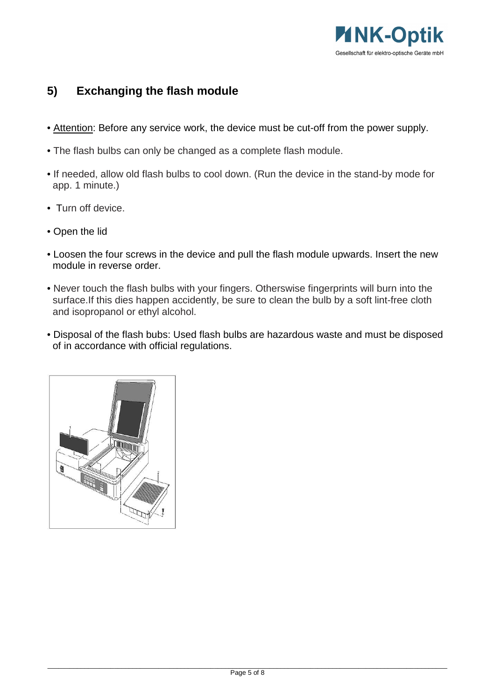

## **5) Exchanging the flash module**

- Attention: Before any service work, the device must be cut-off from the power supply.
- The flash bulbs can only be changed as a complete flash module.
- If needed, allow old flash bulbs to cool down. (Run the device in the stand-by mode for app. 1 minute.)
- Turn off device.
- Open the lid
- Loosen the four screws in the device and pull the flash module upwards. Insert the new module in reverse order.
- Never touch the flash bulbs with your fingers. Otherswise fingerprints will burn into the surface.If this dies happen accidently, be sure to clean the bulb by a soft lint-free cloth and isopropanol or ethyl alcohol.
- Disposal of the flash bubs: Used flash bulbs are hazardous waste and must be disposed of in accordance with official regulations.

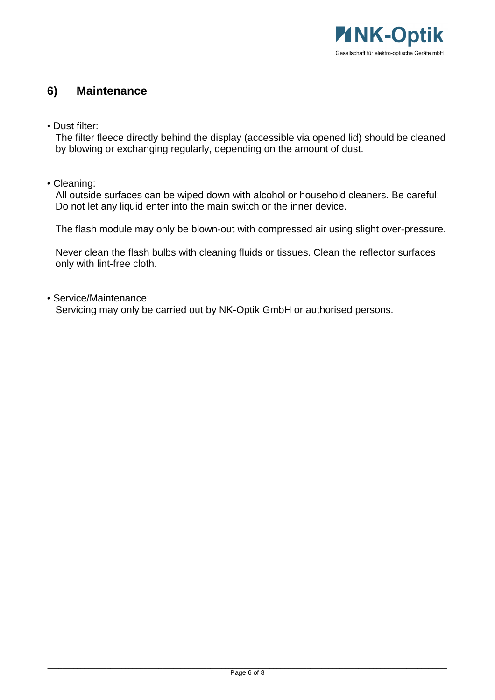

### **6) Maintenance**

• Dust filter:

 The filter fleece directly behind the display (accessible via opened lid) should be cleaned by blowing or exchanging regularly, depending on the amount of dust.

• Cleaning:

 All outside surfaces can be wiped down with alcohol or household cleaners. Be careful: Do not let any liquid enter into the main switch or the inner device.

The flash module may only be blown-out with compressed air using slight over-pressure.

 Never clean the flash bulbs with cleaning fluids or tissues. Clean the reflector surfaces only with lint-free cloth.

• Service/Maintenance:

Servicing may only be carried out by NK-Optik GmbH or authorised persons.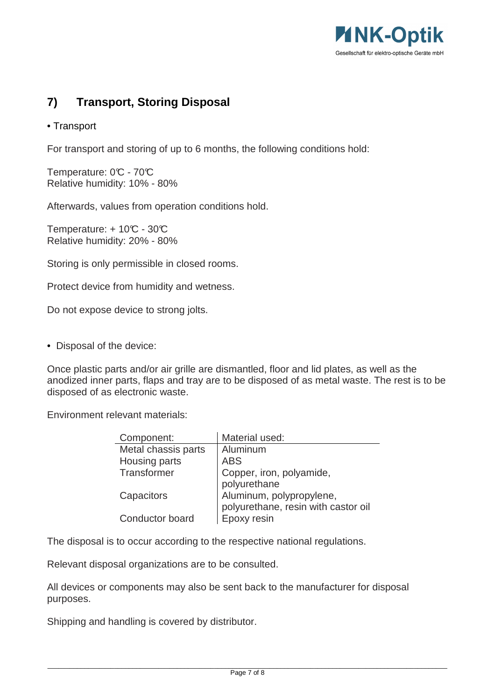

# **7) Transport, Storing Disposal**

#### • Transport

For transport and storing of up to 6 months, the following conditions hold:

Temperature: 0°C - 70°C Relative humidity: 10% - 80%

Afterwards, values from operation conditions hold.

Temperature:  $+10C - 30C$ Relative humidity: 20% - 80%

Storing is only permissible in closed rooms.

Protect device from humidity and wetness.

Do not expose device to strong jolts.

• Disposal of the device:

Once plastic parts and/or air grille are dismantled, floor and lid plates, as well as the anodized inner parts, flaps and tray are to be disposed of as metal waste. The rest is to be disposed of as electronic waste.

Environment relevant materials:

| Component:          | Material used:                      |
|---------------------|-------------------------------------|
| Metal chassis parts | Aluminum                            |
| Housing parts       | <b>ABS</b>                          |
| Transformer         | Copper, iron, polyamide,            |
|                     | polyurethane                        |
| Capacitors          | Aluminum, polypropylene,            |
|                     | polyurethane, resin with castor oil |
| Conductor board     | Epoxy resin                         |

The disposal is to occur according to the respective national regulations.

Relevant disposal organizations are to be consulted.

All devices or components may also be sent back to the manufacturer for disposal purposes.

Shipping and handling is covered by distributor.